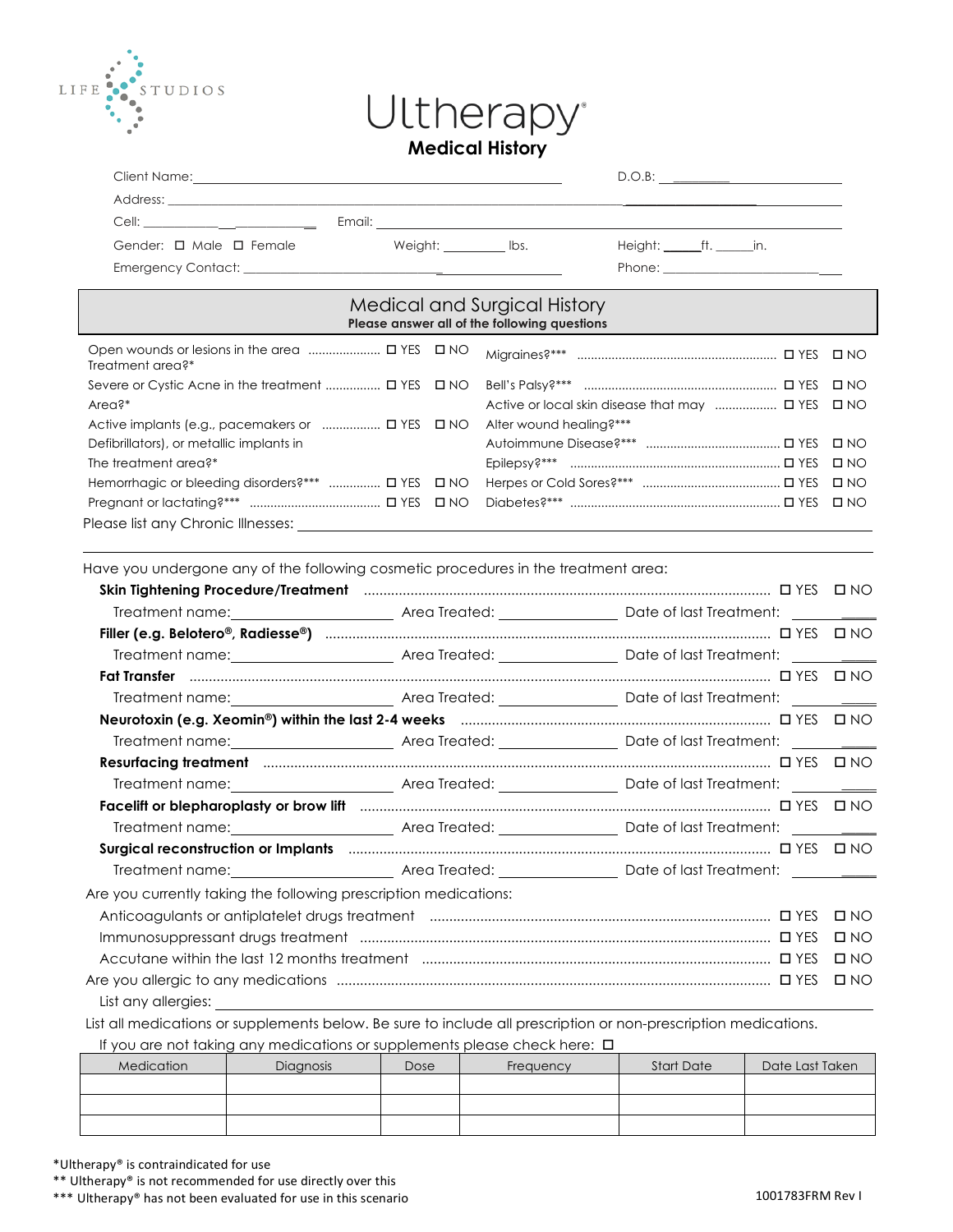

| Ultherapy <sup>®</sup> |
|------------------------|
| <b>Medical History</b> |

|                                                    | <u>MCMCAL MUTTI</u>                                                                                                                                                                                                                  |              |
|----------------------------------------------------|--------------------------------------------------------------------------------------------------------------------------------------------------------------------------------------------------------------------------------------|--------------|
| Client Name: <u>Client Annel Client Name</u>       |                                                                                                                                                                                                                                      |              |
|                                                    |                                                                                                                                                                                                                                      |              |
|                                                    | Email: <u>Alexander Alexander Alexander Alexander Alexander Alexander Alexander Alexander Alexander Alexander Alexander Alexander Alexander Alexander Alexander Alexander Alexander Alexander Alexander Alexander Alexander Alex</u> |              |
| Gender: □ Male □ Female                            | Weight: _________________ lbs.<br>$Height:$ $ft.$ $in.$                                                                                                                                                                              |              |
|                                                    |                                                                                                                                                                                                                                      |              |
|                                                    | <b>Medical and Surgical History</b><br>Please answer all of the following questions                                                                                                                                                  |              |
| Treatment area?*                                   |                                                                                                                                                                                                                                      |              |
| Severe or Cystic Acne in the treatment  □ YES □ NO |                                                                                                                                                                                                                                      |              |
| Area?*                                             | Active or local skin disease that may  I YES INO                                                                                                                                                                                     |              |
| Active implants (e.g., pacemakers or  I YES INO    | Alter wound healing?***                                                                                                                                                                                                              |              |
| Defibrillators), or metallic implants in           |                                                                                                                                                                                                                                      |              |
| The treatment area?*                               |                                                                                                                                                                                                                                      | $\square$ NO |
| Hemorrhagic or bleeding disorders?***  □ YES □ NO  |                                                                                                                                                                                                                                      |              |
|                                                    |                                                                                                                                                                                                                                      |              |
| Please list any Chronic Illnesses:                 |                                                                                                                                                                                                                                      |              |

Have you undergone any of the following cosmetic procedures in the treatment area:

| Are you currently taking the following prescription medications: |  |              |
|------------------------------------------------------------------|--|--------------|
|                                                                  |  | $\square$ NO |
|                                                                  |  | $\Box$ NO    |
|                                                                  |  | $\Box$ NO    |
| List any allergies:                                              |  | $\Box$ NO    |

List all medications or supplements below. Be sure to include all prescription or non-prescription medications.

If you are not taking any medications or supplements please check here:  $\Box$ 

| <b>Medication</b> | <b>Diagnosis</b> | Dose | Frequency | <b>Start Date</b> | Date Last Taken |
|-------------------|------------------|------|-----------|-------------------|-----------------|
|                   |                  |      |           |                   |                 |
|                   |                  |      |           |                   |                 |
|                   |                  |      |           |                   |                 |

\*Ultherapy® is contraindicated for use

\*\* Ultherapy® is not recommended for use directly over this

\*\*\* Ultherapy® has not been evaluated for use in this scenario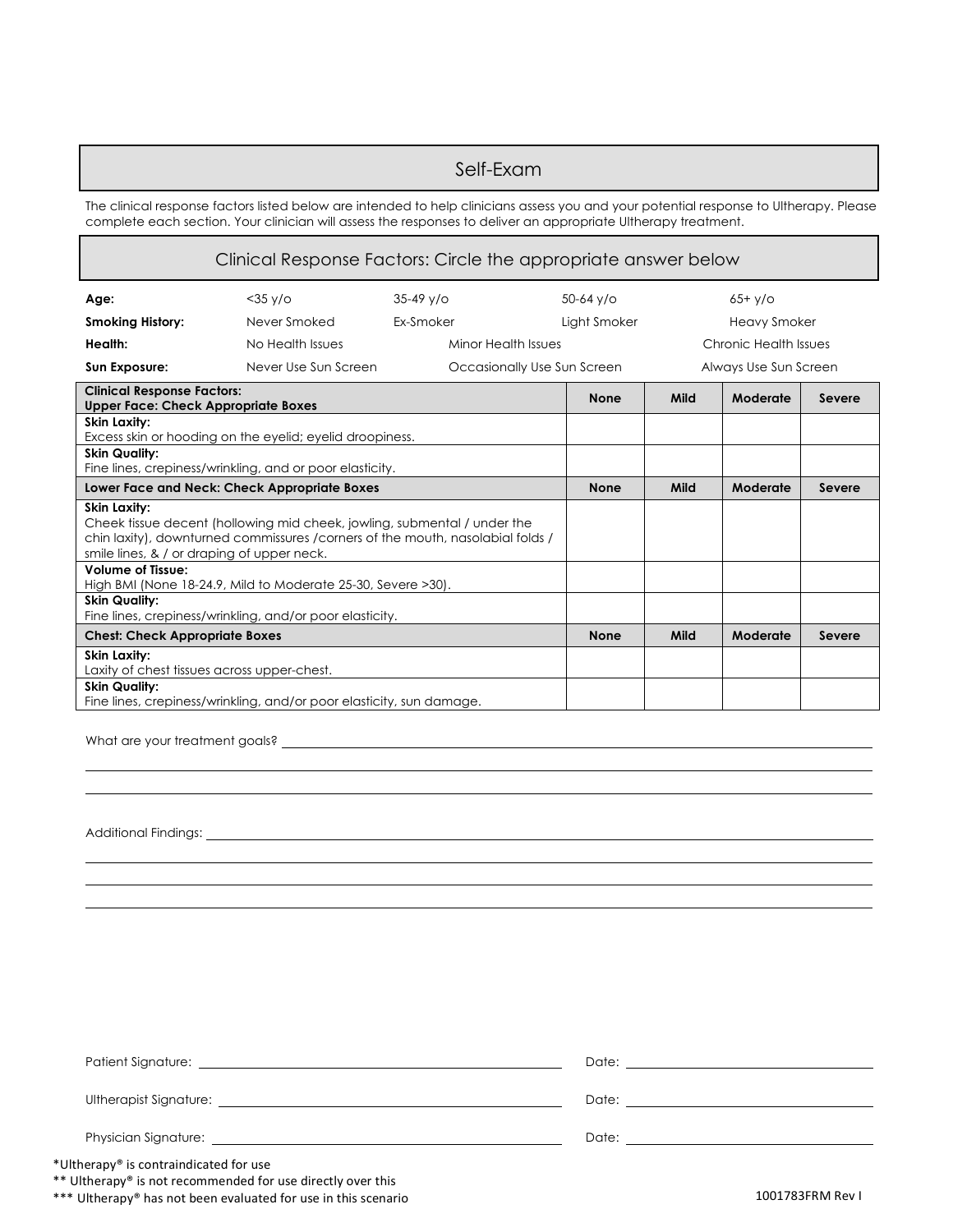## Self-Exam

The clinical response factors listed below are intended to help clinicians assess you and your potential response to Ultherapy. Please complete each section. Your clinician will assess the responses to deliver an appropriate Ultherapy treatment.

## Clinical Response Factors: Circle the appropriate answer below **Age:** <35 y/o 35-49 y/o 50-64 y/o 65+ y/o **Smoking History:** Never Smoked Ex-Smoker Light Smoker Heavy Smoker **Health:** No Health Issues Minor Health Issues Chronic Health Issues **Sun Exposure:** Never Use Sun Screen **Occasionally Use Sun Screen** Always Use Sun Screen **Clinical Response Factors: Upper Face: Check Appropriate Boxes None Mild Moderate Severe**

| Skin Laxity:                                                                    |             |      |          |               |
|---------------------------------------------------------------------------------|-------------|------|----------|---------------|
| Excess skin or hooding on the eyelid; eyelid droopiness.                        |             |      |          |               |
| <b>Skin Quality:</b>                                                            |             |      |          |               |
| Fine lines, crepiness/wrinkling, and or poor elasticity.                        |             |      |          |               |
| Lower Face and Neck: Check Appropriate Boxes                                    | <b>None</b> | Mild | Moderate | Severe        |
| Skin Laxity:                                                                    |             |      |          |               |
| Cheek tissue decent (hollowing mid cheek, jowling, submental / under the        |             |      |          |               |
| chin laxity), downturned commissures / corners of the mouth, nasolabial folds / |             |      |          |               |
| smile lines, & / or draping of upper neck.                                      |             |      |          |               |
| <b>Volume of Tissue:</b>                                                        |             |      |          |               |
| High BMI (None 18-24.9, Mild to Moderate 25-30, Severe >30).                    |             |      |          |               |
| <b>Skin Quality:</b>                                                            |             |      |          |               |
| Fine lines, crepiness/wrinkling, and/or poor elasticity.                        |             |      |          |               |
| <b>Chest: Check Appropriate Boxes</b>                                           | <b>None</b> | Mild | Moderate | <b>Severe</b> |
| Skin Laxity:                                                                    |             |      |          |               |
| Laxity of chest tissues across upper-chest.                                     |             |      |          |               |
| <b>Skin Quality:</b>                                                            |             |      |          |               |
| Fine lines, crepiness/wrinkling, and/or poor elasticity, sun damage.            |             |      |          |               |

What are your treatment goals? \_

Additional Findings:

| Patient Signature: The Contract of the Contract of the Contract of the Contract of the Contract of the Contract of the Contract of the Contract of the Contract of the Contract of the Contract of the Contract of the Contrac | Date:                                                                                                                                                                                                                          |
|--------------------------------------------------------------------------------------------------------------------------------------------------------------------------------------------------------------------------------|--------------------------------------------------------------------------------------------------------------------------------------------------------------------------------------------------------------------------------|
|                                                                                                                                                                                                                                | Date: the contract of the contract of the contract of the contract of the contract of the contract of the contract of the contract of the contract of the contract of the contract of the contract of the contract of the cont |
|                                                                                                                                                                                                                                | Date: the contract of the contract of the contract of the contract of the contract of the contract of the contract of the contract of the contract of the contract of the contract of the contract of the contract of the cont |
| *Ultherapy® is contraindicated for use                                                                                                                                                                                         |                                                                                                                                                                                                                                |

\*\* Ultherapy® is not recommended for use directly over this

\*\*\* Ultherapy® has not been evaluated for use in this scenario